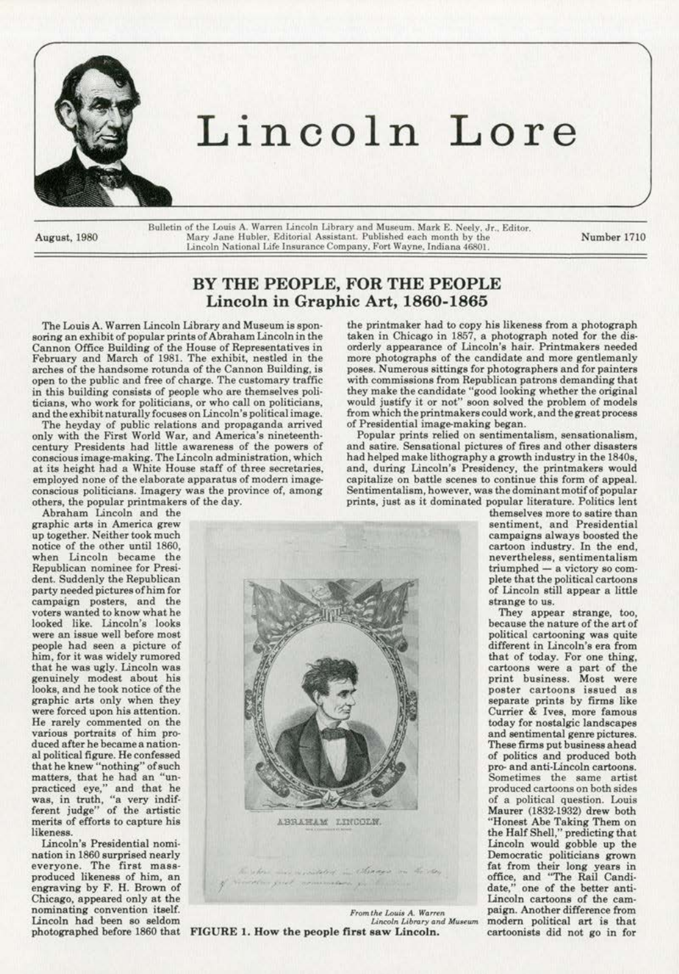

# **Lincoln Lore**

Bulletin of the Louis A. Warren Lincoln Library and Museum. Mark E. Neely. Jr., Editor. August, 1980 **Mory Jane Hubler, Editorial Assistant. Published each month by the Lincoln National Life Insurance Company.** Fort Wayne, Indiana 46801.

Number 1710

## **BY THE PEOPLE, FOR THE PEOPLE Lincoln in Graphic** Art, **1860-1865**

The Lows A. Warren Lincoln Library and Museum is spon· soring an exhibit of popular prints of Abraham Lincoln in the Cannon Office Bwlding of the House of Representatives in February and March of 1981. The exhibit, nestled in the arches of the handsome rotunda of the Cannon Building, is open to the public and free of charge. The customary traffic in this building consists of people who are themselves politicians, who work for politicians, or who call on politicians,

and the exhibit naturally focuses on Lincoln's political image.<br>The heyday of public relations and propaganda arrived only with the First World War, and America's nineteenth· **century Presidents had little awareness of the powers of conscious image--making. The Uncoln administration, which**  at its height had a White House steff of three secretaries, employed none of the elaborate apparatus of modern image**conscious politicians. Imagery was the province of, among**  others, the popular printmakers of the day. Abraham Lincoln and the

**graphic arts in America grew**  up together. Neither took much when Lincoln became the **Republican nominee for Presi·**  dent. Suddenly the Republican party needed pictures of him for campaign posters, and the **voters wanted to know what he**  looked like. Lincoln's looks were an issue well before most people had seen a picture of **him, for it was widely rumored**  that he was ugly. Lincoln was genuinely modest about his looks, and be took notice of the graphic arts only when they were forced upon his attention. He rarely commented on the **various portraits of him pro.**  duced after he became a nation· al political figure. He confeseed that he knew "nothing" of such matters, that he had an "unpracticed eye," and that he **was, in truth, "a very indif·**  ferent judge" of the artistic **merits of efforts to capture hie**  likeness.

**Lincoln's Presidential nomi· nation in 1860 surprised nearly everyone. The first mass· produced likeness of him, an**  engraving by F. H. Brown of Chicago, appeared only at the **nominating convention itself.**  Lincoln had been so seldom

the printmaker bad to copy his likeness from a photograph taken in Chicago in 1857, a photograph noted for the dis· orderly appeamnce of Lincoln's hair. Printmakers needed more photographs of the candidate and more gentlemanly poses. Numerous sittings for photographers and for painters with commissions from Republican patrons demanding that they make the candidate "good looking whether the original would justify it or not" soon solved the problem of models from which the print makers could work, and the great process of Presidential image-making began.

**Popular prints relied on sentimentalism. sensationalism,**  and satire. Sensational pictures of fires and other disasters had helped make lithography a growth industry in the 1840s, and, during Lincoln's Presidency, the printmakers would capitalize on battle scenes to continue this form of appeal. **Sentimentalism, however, was the dominant motif of popular**  prints, just as it dominated popular literature. Politics lent

**themselves more to satire than sentiment, and Presidential**  campaigns always boosted the cartoon industry. In the end, **nevertheless, sentimentalism**  triumphed - a victory so complete that the political cartoons of Lincoln still appear a little

They appear strange, too, because the nature of the art of political cartooning was quite different in Lincoln's era from that of today. For one thing, **print business. Most were poster cartoons issued as**  separate prints by firms like **Currier & Ivee, more famous**  today for nostalgic landscapes and sentimental genre pictures. These firms put business ahead of polities and produced both **pro- and anti-Lincoln cartoons. Sometimes the same artist produced cartoons on both sides**  of a political question. Louis Maurer (1832-1932) drew both "Honest Abe Taking Them on the Half Shell," predicting that Lincoln would gobble up the Democratic politicians grown fat from their long years in office, and "The Rail Candi· date," one of the better anti· **Lincoln cartoons of the cam**paign. Another difference from **modern political art is that**  cartoonists did not go in for



' above mas residented in Amage on the stay<br>It in great communication for the stay memorators as then

 $From the Louis A. Warren  
\nLincoh Library and Museum$ Lincoln had been so seldom<br>
photographed before 1860 that **FIGURE 1. How the people first saw Lincoln.**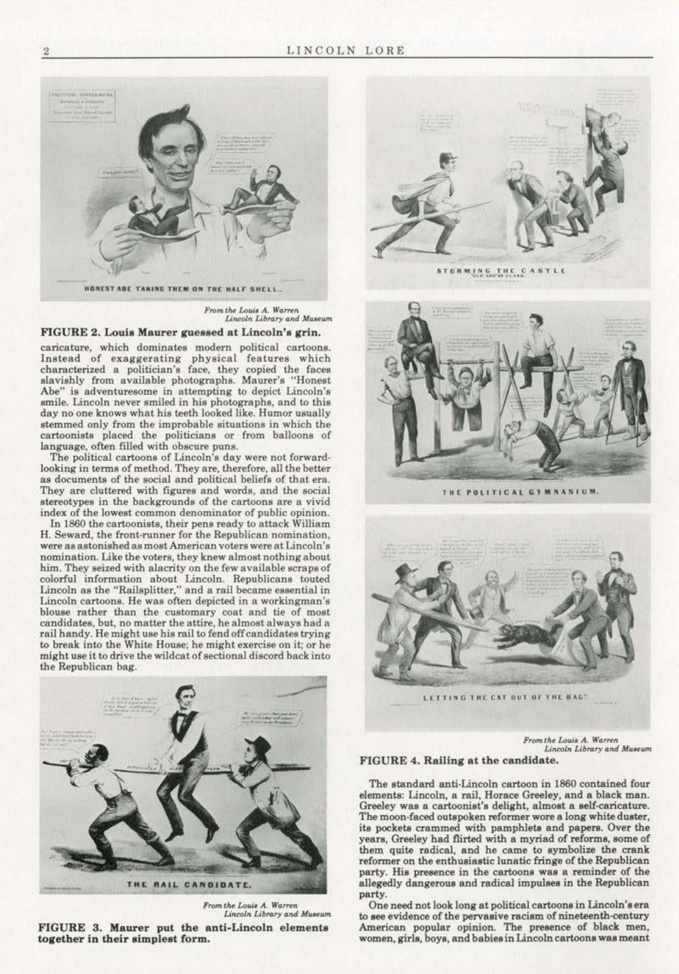

*Prom the Louis A. Warren*<br>*Lincoln Library and Museum* 

### FIGURE 2. Louis Maurer guessed at Lincoln's grin.

**caricature, which dominates modern political cartoons. Instead of exaggerating physical features which characterized a politician's face, they copied the faces**  slavishly from available photographs. Maurer's ''Honest **Abe" is adventuresome in attempting to depict Lincoln's**  smile. Lincoln never smiled in his photographs, and to this day no one knows what his teeth looked like. Humor usually stemmed only from the improbable situations in which the cartoonists plaoed the politicians or from balloons of language, often filled with obscure puns.

The political cartoons of Lincoln's day were not forward· looking in terms of method. They are, therefore, all the better<br>as documents of the social and political beliefs of that era. They are cluttered with figures and words, and the social **stereotypes in the backgrounds of the cartoons are a vivid index of the lowest common denominator of public opinion.** 

In 1860 the cartoonists, their pens ready to attack William **H. Seward, the front-runner for the Republican nomination, were as astonished as most American voters were at Lincoln's nomination. Like the voters, they knew almost nothing about**  him. They seized with alacrity on the few available scraps of colorful information about Lincoln. Republicans touted Lincoln as the "Railsplitter," and a rail became essential in **Lincoln cartoons. He was often depicted in a workingman's blouse rather than the customary coat and tie of most**  candidates, but, no matter the attire, he almost always bad a rail handy. He might use his rail to fend off candidates trying to break into the White House; he might exercise on it; or he might use it to drive the wildcat of sectional discord back into the Republican bag.



 $From the Louis A. Warren$ *LincolA LlbtotY* **tmd** *Muuwrt*  FIGURE 3. Maurer put the anti-Lincoln elements **together in their simplest form.** 



**<sup>5</sup> <sup>T</sup> ri ..** llti~G **Ttt t C ASTL(** ......... \_.,.\_.



**TN[ .. OliTICAl GY <sup>M</sup> NAS IUM ,** 



 $From the Louis A. Warren$  $Lin$ coln Library and Museum

#### FIGURE 4. Railing at the candidate.

The standard anti·Lincoln cartoon in 1860 contained four elements: Lincoln, a rail, Horace Greeley, and a black man. Greeley was a cartoonist's delight, almost a self-caricature. The moon-faced outspoken reformer wore a long white duster, its pockets crammed with pamphlets and papers. Over the years, Greeley had flirted with a myriad of reforms, some of them quite radical, and he came to symbolize the crank reformer on the enthusiastic lunatic fringe of the Republican **party. His presence in the cartoons was a reminder of the**  allegedly dangerous and radical impulses in the Republican party.

One need not look long at political cartoons in Lincoln'sera to see evidence of the pervasive racism of nineteenth-century American popular opinion. The presence of black men, women, girls, boys, and babies in Linooln cartoons wae meant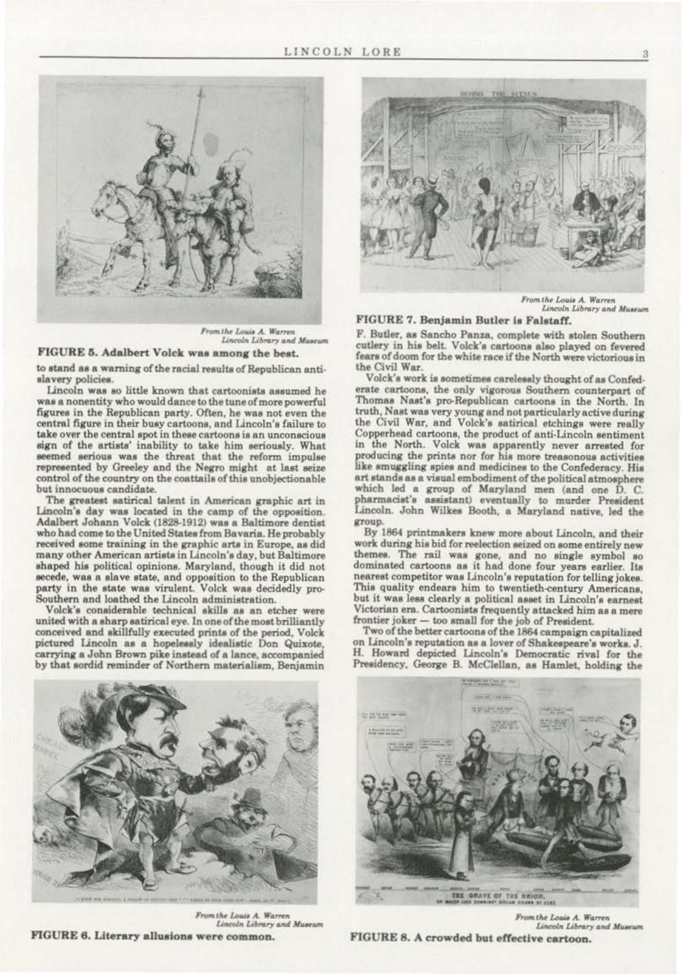

From the Louis A. Warren Lincoln Library and Museum

## FIGURE 5. Adalbert Volck was among the best.

to stand as a warning of the racial results of Republican antislavery policies.

Lincoln was so little known that cartoonists assumed he was a nonentity who would dance to the tune of more powerful figures in the Republican party. Often, he was not even the central figure in their busy cartoons, and Lincoln's failure to take over the central spot in these cartoons is an unconscious sign of the artists' inability to take him seriously. What seemed serious was the threat that the reform impulse represented by Greeley and the Negro might at last seize control of the country on the coattails of this unobjectionable but innocuous candidate.

The greatest satirical talent in American graphic art in Lincoln's day was located in the camp of the opposition. Adalbert Johann Volck (1828-1912) was a Baltimore dentist who had come to the United States from Bayaria. He probably received some training in the graphic arts in Europe, as did many other American artists in Lincoln's day, but Baltimore shaped his political opinions. Maryland, though it did not secede, was a slave state, and opposition to the Republican party in the state was virulent. Volck was decidedly pro-Southern and loathed the Lincoln administration.

Volck's considerable technical skills as an etcher were united with a sharp satirical eye. In one of the most brilliantly conceived and skillfully executed prints of the period, Volck pictured Lincoln as a hopelessly idealistic Don Quixote, carrying a John Brown pike instead of a lance, accompanied by that sordid reminder of Northern materialism, Benjamin



From the Louis A. Warren Lincoln Library and Museum

## FIGURE 7. Benjamin Butler is Falstaff.

F. Butler, as Sancho Panza, complete with stolen Southern cutlery in his belt. Volck's cartoons also played on fevered fears of doom for the white race if the North were victorious in the Civil War.

Volck's work is sometimes carelessly thought of as Confederate cartoons, the only vigorous Southern counterpart of Thomas Nast's pro-Republican cartoons in the North. In truth, Nast was very young and not particularly active during<br>the Civil War, and Volck's satirical etchings were really Copperhead cartoons, the product of anti-Lincoln sentiment in the North. Volck was apparently never arrested for producing the prints nor for his more treasonous activities like smuggling spies and medicines to the Confederacy. His art stands as a visual embodiment of the political atmosphere which led a group of Maryland men (and one D. C. pharmacist's assistant) eventually to murder President Lincoln. John Wilkes Booth, a Maryland native, led the group.

By 1864 printmakers knew more about Lincoln, and their work during his bid for reelection seized on some entirely new themes. The rail was gone, and no single symbol so dominated cartoons as it had done four years earlier. Its nearest competitor was Lincoln's reputation for telling jokes. This quality endears him to twentieth-century Americans. but it was less clearly a political asset in Lincoln's earnest Victorian era. Cartoonists frequently attacked him as a mere frontier joker - too small for the job of President.

Two of the better cartoons of the 1864 campaign capitalized on Lincoln's reputation as a lover of Shakespeare's works. J. H. Howard depicted Lincoln's Democratic rival for the Presidency, George B. McClellan, as Hamlet, holding the



From the Louis A. Warren Lincoln Library and Museum FIGURE 6. Literary allusions were common.



From the Louis A. Warren Lincoln Library and Museum FIGURE 8. A crowded but effective cartoon.